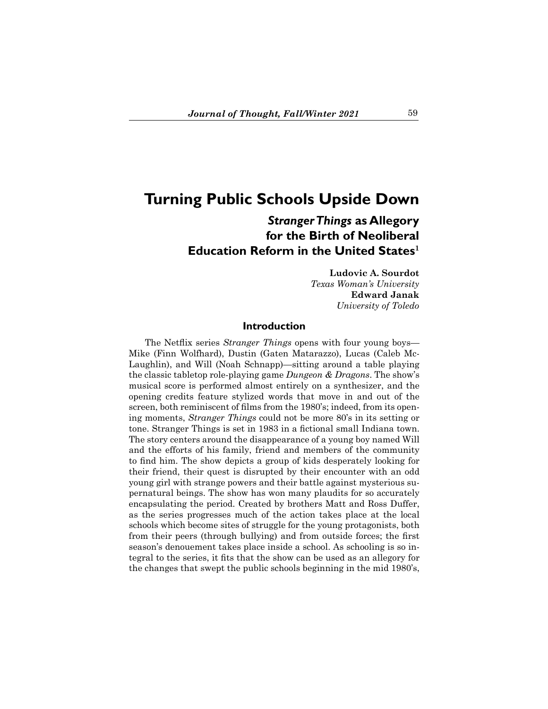# **Turning Public Schools Upside Down**

## *Stranger Things* **as Allegory for the Birth of Neoliberal Education Reform in the United States<sup>1</sup>**

**Ludovic A. Sourdot** *Texas Woman's University* **Edward Janak** *University of Toledo*

## **Introduction**

 The Netflix series *Stranger Things* opens with four young boys— Mike (Finn Wolfhard), Dustin (Gaten Matarazzo), Lucas (Caleb Mc-Laughlin), and Will (Noah Schnapp)—sitting around a table playing the classic tabletop role-playing game *Dungeon & Dragons*. The show's musical score is performed almost entirely on a synthesizer, and the opening credits feature stylized words that move in and out of the screen, both reminiscent of films from the 1980's; indeed, from its opening moments, *Stranger Things* could not be more 80's in its setting or tone. Stranger Things is set in 1983 in a fictional small Indiana town. The story centers around the disappearance of a young boy named Will and the efforts of his family, friend and members of the community to find him. The show depicts a group of kids desperately looking for their friend, their quest is disrupted by their encounter with an odd young girl with strange powers and their battle against mysterious supernatural beings. The show has won many plaudits for so accurately encapsulating the period. Created by brothers Matt and Ross Duffer, as the series progresses much of the action takes place at the local schools which become sites of struggle for the young protagonists, both from their peers (through bullying) and from outside forces; the first season's denouement takes place inside a school. As schooling is so integral to the series, it fits that the show can be used as an allegory for the changes that swept the public schools beginning in the mid 1980's,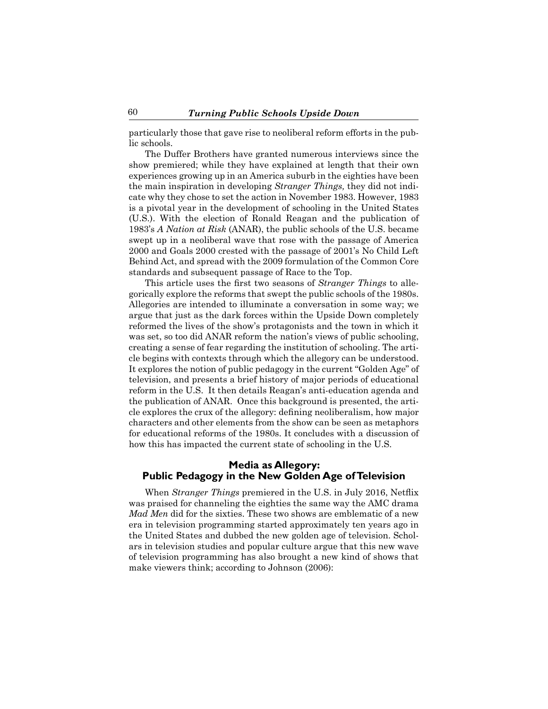particularly those that gave rise to neoliberal reform efforts in the public schools.

 The Duffer Brothers have granted numerous interviews since the show premiered; while they have explained at length that their own experiences growing up in an America suburb in the eighties have been the main inspiration in developing *Stranger Things,* they did not indicate why they chose to set the action in November 1983. However, 1983 is a pivotal year in the development of schooling in the United States (U.S.). With the election of Ronald Reagan and the publication of 1983's *A Nation at Risk* (ANAR), the public schools of the U.S. became swept up in a neoliberal wave that rose with the passage of America 2000 and Goals 2000 crested with the passage of 2001's No Child Left Behind Act, and spread with the 2009 formulation of the Common Core standards and subsequent passage of Race to the Top.

 This article uses the first two seasons of *Stranger Things* to allegorically explore the reforms that swept the public schools of the 1980s. Allegories are intended to illuminate a conversation in some way; we argue that just as the dark forces within the Upside Down completely reformed the lives of the show's protagonists and the town in which it was set, so too did ANAR reform the nation's views of public schooling, creating a sense of fear regarding the institution of schooling. The article begins with contexts through which the allegory can be understood. It explores the notion of public pedagogy in the current "Golden Age" of television, and presents a brief history of major periods of educational reform in the U.S. It then details Reagan's anti-education agenda and the publication of ANAR. Once this background is presented, the article explores the crux of the allegory: defining neoliberalism, how major characters and other elements from the show can be seen as metaphors for educational reforms of the 1980s. It concludes with a discussion of how this has impacted the current state of schooling in the U.S.

## **Media as Allegory: Public Pedagogy in the New Golden Age of Television**

 When *Stranger Things* premiered in the U.S. in July 2016, Netflix was praised for channeling the eighties the same way the AMC drama *Mad Men* did for the sixties. These two shows are emblematic of a new era in television programming started approximately ten years ago in the United States and dubbed the new golden age of television. Scholars in television studies and popular culture argue that this new wave of television programming has also brought a new kind of shows that make viewers think; according to Johnson (2006):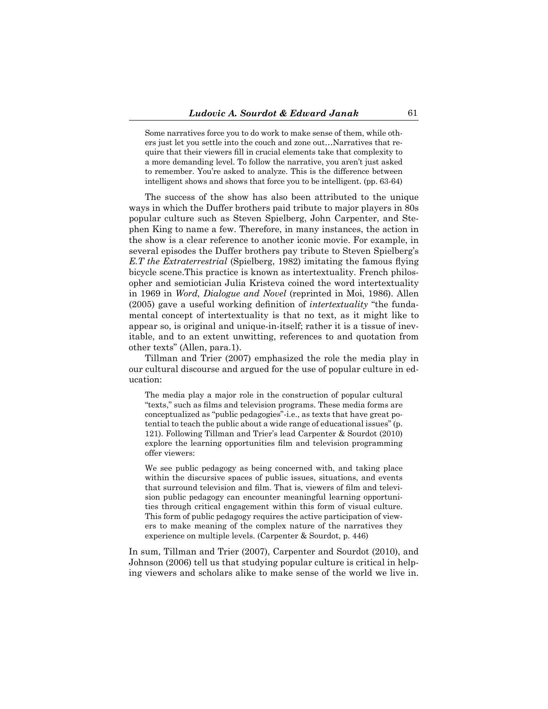Some narratives force you to do work to make sense of them, while others just let you settle into the couch and zone out…Narratives that require that their viewers fill in crucial elements take that complexity to a more demanding level. To follow the narrative, you aren't just asked to remember. You're asked to analyze. This is the difference between intelligent shows and shows that force you to be intelligent. (pp. 63-64)

 The success of the show has also been attributed to the unique ways in which the Duffer brothers paid tribute to major players in 80s popular culture such as Steven Spielberg, John Carpenter, and Stephen King to name a few. Therefore, in many instances, the action in the show is a clear reference to another iconic movie. For example, in several episodes the Duffer brothers pay tribute to Steven Spielberg's *E.T the Extraterrestrial* (Spielberg, 1982) imitating the famous flying bicycle scene.This practice is known as intertextuality. French philosopher and semiotician Julia Kristeva coined the word intertextuality in 1969 in *Word, Dialogue and Novel* (reprinted in Moi, 1986). Allen (2005) gave a useful working definition of *intertextuality* "the fundamental concept of intertextuality is that no text, as it might like to appear so, is original and unique-in-itself; rather it is a tissue of inevitable, and to an extent unwitting, references to and quotation from other texts" (Allen, para.1).

 Tillman and Trier (2007) emphasized the role the media play in our cultural discourse and argued for the use of popular culture in education:

The media play a major role in the construction of popular cultural "texts," such as films and television programs. These media forms are conceptualized as "public pedagogies"-i.e., as texts that have great potential to teach the public about a wide range of educational issues" (p. 121). Following Tillman and Trier's lead Carpenter & Sourdot (2010) explore the learning opportunities film and television programming offer viewers:

We see public pedagogy as being concerned with, and taking place within the discursive spaces of public issues, situations, and events that surround television and film. That is, viewers of film and television public pedagogy can encounter meaningful learning opportunities through critical engagement within this form of visual culture. This form of public pedagogy requires the active participation of viewers to make meaning of the complex nature of the narratives they experience on multiple levels. (Carpenter & Sourdot, p. 446)

In sum, Tillman and Trier (2007), Carpenter and Sourdot (2010), and Johnson (2006) tell us that studying popular culture is critical in helping viewers and scholars alike to make sense of the world we live in.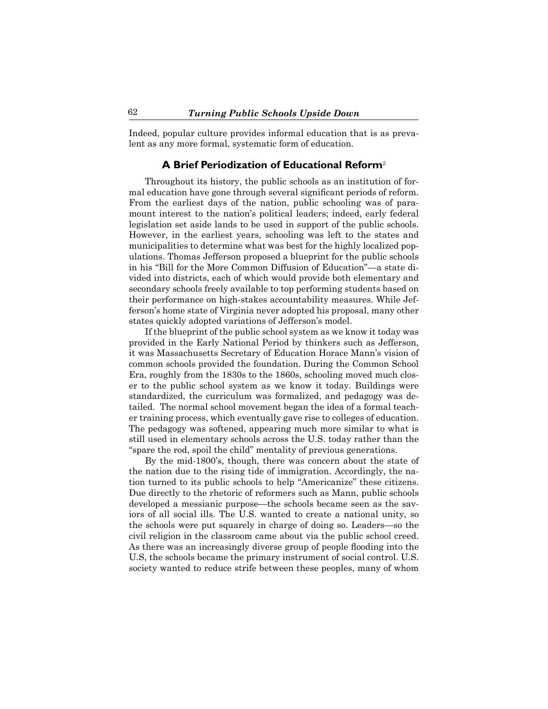Indeed, popular culture provides informal education that is as prevalent as any more formal, systematic form of education.

## **A Brief Periodization of Educational Reform**<sup>2</sup>

 Throughout its history, the public schools as an institution of formal education have gone through several significant periods of reform. From the earliest days of the nation, public schooling was of paramount interest to the nation's political leaders; indeed, early federal legislation set aside lands to be used in support of the public schools. However, in the earliest years, schooling was left to the states and municipalities to determine what was best for the highly localized populations. Thomas Jefferson proposed a blueprint for the public schools in his "Bill for the More Common Diffusion of Education"—a state divided into districts, each of which would provide both elementary and secondary schools freely available to top performing students based on their performance on high-stakes accountability measures. While Jefferson's home state of Virginia never adopted his proposal, many other states quickly adopted variations of Jefferson's model.

If the blueprint of the public school system as we know it today was provided in the Early National Period by thinkers such as Jefferson, it was Massachusetts Secretary of Education Horace Mann's vision of common schools provided the foundation. During the Common School Era, roughly from the 1830s to the 1860s, schooling moved much closer to the public school system as we know it today. Buildings were standardized, the curriculum was formalized, and pedagogy was detailed. The normal school movement began the idea of a formal teacher training process, which eventually gave rise to colleges of education. The pedagogy was softened, appearing much more similar to what is still used in elementary schools across the U.S. today rather than the "spare the rod, spoil the child" mentality of previous generations.

 By the mid-1800's, though, there was concern about the state of the nation due to the rising tide of immigration. Accordingly, the nation turned to its public schools to help "Americanize" these citizens. Due directly to the rhetoric of reformers such as Mann, public schools developed a messianic purpose—the schools became seen as the saviors of all social ills. The U.S. wanted to create a national unity, so the schools were put squarely in charge of doing so. Leaders—so the civil religion in the classroom came about via the public school creed. As there was an increasingly diverse group of people flooding into the U.S, the schools became the primary instrument of social control. U.S. society wanted to reduce strife between these peoples, many of whom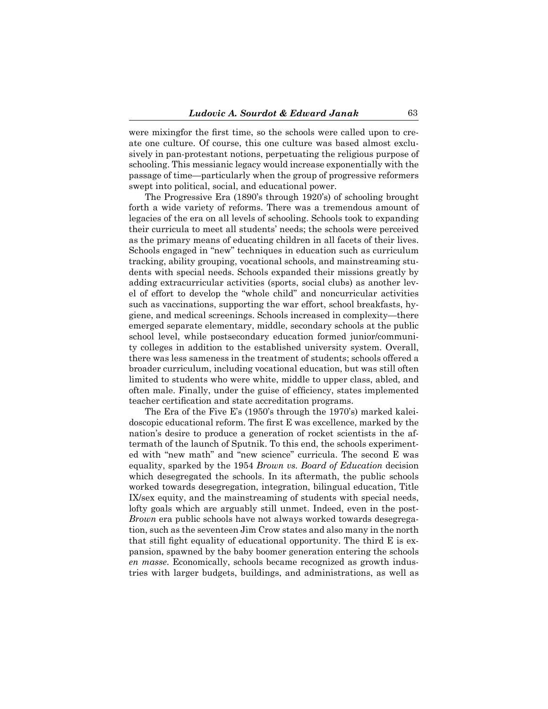were mixingfor the first time, so the schools were called upon to create one culture. Of course, this one culture was based almost exclusively in pan-protestant notions, perpetuating the religious purpose of schooling. This messianic legacy would increase exponentially with the passage of time—particularly when the group of progressive reformers swept into political, social, and educational power.

 The Progressive Era (1890's through 1920's) of schooling brought forth a wide variety of reforms. There was a tremendous amount of legacies of the era on all levels of schooling. Schools took to expanding their curricula to meet all students' needs; the schools were perceived as the primary means of educating children in all facets of their lives. Schools engaged in "new" techniques in education such as curriculum tracking, ability grouping, vocational schools, and mainstreaming students with special needs. Schools expanded their missions greatly by adding extracurricular activities (sports, social clubs) as another level of effort to develop the "whole child" and noncurricular activities such as vaccinations, supporting the war effort, school breakfasts, hygiene, and medical screenings. Schools increased in complexity—there emerged separate elementary, middle, secondary schools at the public school level, while postsecondary education formed junior/community colleges in addition to the established university system. Overall, there was less sameness in the treatment of students; schools offered a broader curriculum, including vocational education, but was still often limited to students who were white, middle to upper class, abled, and often male. Finally, under the guise of efficiency, states implemented teacher certification and state accreditation programs.

 The Era of the Five E's (1950's through the 1970's) marked kaleidoscopic educational reform. The first E was excellence, marked by the nation's desire to produce a generation of rocket scientists in the aftermath of the launch of Sputnik. To this end, the schools experimented with "new math" and "new science" curricula. The second E was equality, sparked by the 1954 *Brown vs. Board of Education* decision which desegregated the schools. In its aftermath, the public schools worked towards desegregation, integration, bilingual education, Title IX/sex equity, and the mainstreaming of students with special needs, lofty goals which are arguably still unmet. Indeed, even in the post-*Brown* era public schools have not always worked towards desegregation, such as the seventeen Jim Crow states and also many in the north that still fight equality of educational opportunity. The third E is expansion, spawned by the baby boomer generation entering the schools *en masse*. Economically, schools became recognized as growth industries with larger budgets, buildings, and administrations, as well as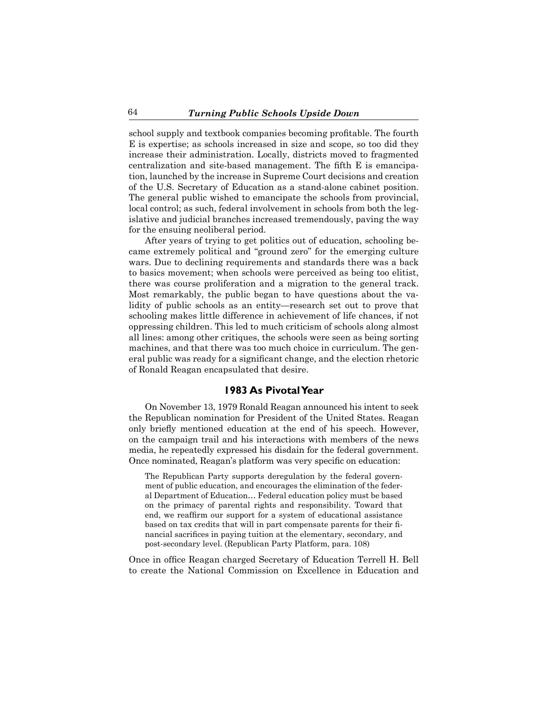school supply and textbook companies becoming profitable. The fourth E is expertise; as schools increased in size and scope, so too did they increase their administration. Locally, districts moved to fragmented centralization and site-based management. The fifth E is emancipation, launched by the increase in Supreme Court decisions and creation of the U.S. Secretary of Education as a stand-alone cabinet position. The general public wished to emancipate the schools from provincial, local control; as such, federal involvement in schools from both the legislative and judicial branches increased tremendously, paving the way for the ensuing neoliberal period.

 After years of trying to get politics out of education, schooling became extremely political and "ground zero" for the emerging culture wars. Due to declining requirements and standards there was a back to basics movement; when schools were perceived as being too elitist, there was course proliferation and a migration to the general track. Most remarkably, the public began to have questions about the validity of public schools as an entity—research set out to prove that schooling makes little difference in achievement of life chances, if not oppressing children. This led to much criticism of schools along almost all lines: among other critiques, the schools were seen as being sorting machines, and that there was too much choice in curriculum. The general public was ready for a significant change, and the election rhetoric of Ronald Reagan encapsulated that desire.

## **1983 As Pivotal Year**

 On November 13, 1979 Ronald Reagan announced his intent to seek the Republican nomination for President of the United States. Reagan only briefly mentioned education at the end of his speech. However, on the campaign trail and his interactions with members of the news media, he repeatedly expressed his disdain for the federal government. Once nominated, Reagan's platform was very specific on education:

The Republican Party supports deregulation by the federal government of public education, and encourages the elimination of the federal Department of Education… Federal education policy must be based on the primacy of parental rights and responsibility. Toward that end, we reaffirm our support for a system of educational assistance based on tax credits that will in part compensate parents for their financial sacrifices in paying tuition at the elementary, secondary, and post-secondary level. (Republican Party Platform, para. 108)

Once in office Reagan charged Secretary of Education Terrell H. Bell to create the National Commission on Excellence in Education and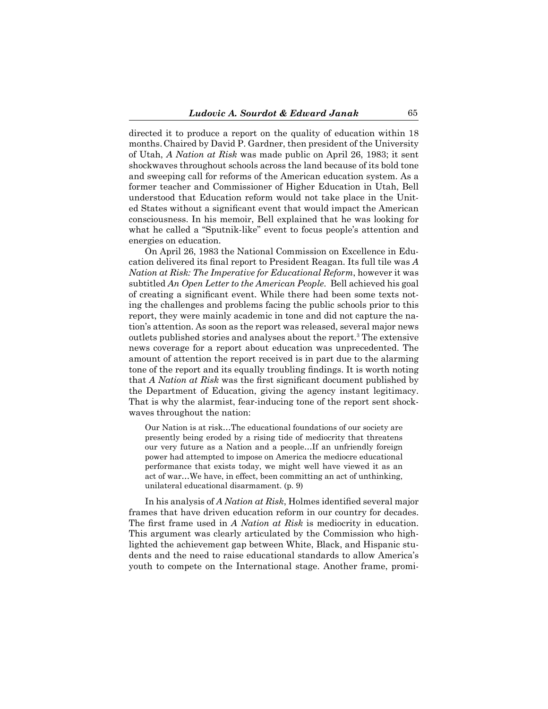directed it to produce a report on the quality of education within 18 months.Chaired by David P. Gardner, then president of the University of Utah, *A Nation at Risk* was made public on April 26, 1983; it sent shockwaves throughout schools across the land because of its bold tone and sweeping call for reforms of the American education system. As a former teacher and Commissioner of Higher Education in Utah, Bell understood that Education reform would not take place in the United States without a significant event that would impact the American consciousness. In his memoir, Bell explained that he was looking for what he called a "Sputnik-like" event to focus people's attention and energies on education.

 On April 26, 1983 the National Commission on Excellence in Education delivered its final report to President Reagan. Its full tile was *A Nation at Risk: The Imperative for Educational Reform*, however it was subtitled *An Open Letter to the American People*. Bell achieved his goal of creating a significant event. While there had been some texts noting the challenges and problems facing the public schools prior to this report, they were mainly academic in tone and did not capture the nation's attention. As soon as the report was released, several major news outlets published stories and analyses about the report.3 The extensive news coverage for a report about education was unprecedented. The amount of attention the report received is in part due to the alarming tone of the report and its equally troubling findings. It is worth noting that *A Nation at Risk* was the first significant document published by the Department of Education, giving the agency instant legitimacy. That is why the alarmist, fear-inducing tone of the report sent shockwaves throughout the nation:

Our Nation is at risk…The educational foundations of our society are presently being eroded by a rising tide of mediocrity that threatens our very future as a Nation and a people…If an unfriendly foreign power had attempted to impose on America the mediocre educational performance that exists today, we might well have viewed it as an act of war…We have, in effect, been committing an act of unthinking, unilateral educational disarmament. (p. 9)

 In his analysis of *A Nation at Risk*, Holmes identified several major frames that have driven education reform in our country for decades. The first frame used in *A Nation at Risk* is mediocrity in education. This argument was clearly articulated by the Commission who highlighted the achievement gap between White, Black, and Hispanic students and the need to raise educational standards to allow America's youth to compete on the International stage. Another frame, promi-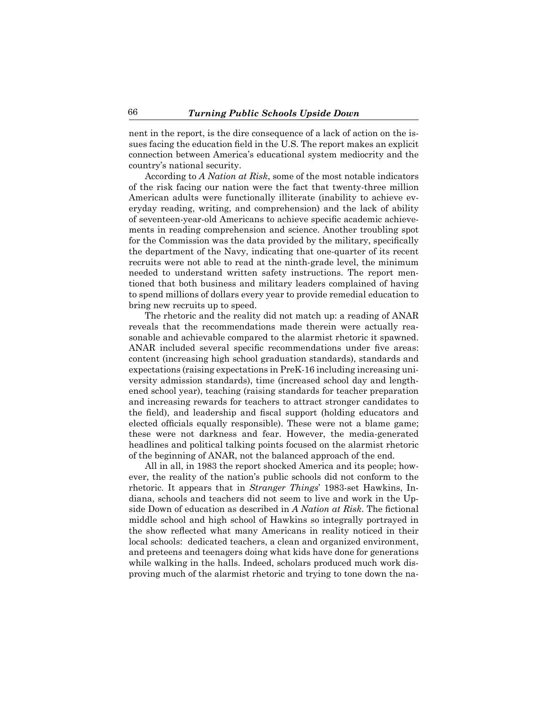nent in the report, is the dire consequence of a lack of action on the issues facing the education field in the U.S. The report makes an explicit connection between America's educational system mediocrity and the country's national security.

 According to *A Nation at Risk*, some of the most notable indicators of the risk facing our nation were the fact that twenty-three million American adults were functionally illiterate (inability to achieve everyday reading, writing, and comprehension) and the lack of ability of seventeen-year-old Americans to achieve specific academic achievements in reading comprehension and science. Another troubling spot for the Commission was the data provided by the military, specifically the department of the Navy, indicating that one-quarter of its recent recruits were not able to read at the ninth-grade level, the minimum needed to understand written safety instructions. The report mentioned that both business and military leaders complained of having to spend millions of dollars every year to provide remedial education to bring new recruits up to speed.

 The rhetoric and the reality did not match up: a reading of ANAR reveals that the recommendations made therein were actually reasonable and achievable compared to the alarmist rhetoric it spawned. ANAR included several specific recommendations under five areas: content (increasing high school graduation standards), standards and expectations (raising expectations in PreK-16 including increasing university admission standards), time (increased school day and lengthened school year), teaching (raising standards for teacher preparation and increasing rewards for teachers to attract stronger candidates to the field), and leadership and fiscal support (holding educators and elected officials equally responsible). These were not a blame game; these were not darkness and fear. However, the media-generated headlines and political talking points focused on the alarmist rhetoric of the beginning of ANAR, not the balanced approach of the end.

 All in all, in 1983 the report shocked America and its people; however, the reality of the nation's public schools did not conform to the rhetoric. It appears that in *Stranger Things*' 1983-set Hawkins, Indiana, schools and teachers did not seem to live and work in the Upside Down of education as described in *A Nation at Risk*. The fictional middle school and high school of Hawkins so integrally portrayed in the show reflected what many Americans in reality noticed in their local schools: dedicated teachers, a clean and organized environment, and preteens and teenagers doing what kids have done for generations while walking in the halls. Indeed, scholars produced much work disproving much of the alarmist rhetoric and trying to tone down the na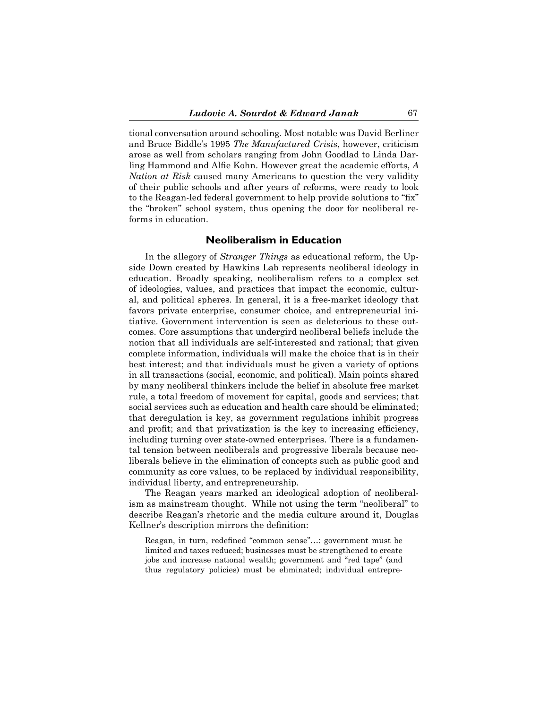tional conversation around schooling. Most notable was David Berliner and Bruce Biddle's 1995 *The Manufactured Crisis*, however, criticism arose as well from scholars ranging from John Goodlad to Linda Darling Hammond and Alfie Kohn. However great the academic efforts, *A Nation at Risk* caused many Americans to question the very validity of their public schools and after years of reforms, were ready to look to the Reagan-led federal government to help provide solutions to "fix" the "broken" school system, thus opening the door for neoliberal reforms in education.

## **Neoliberalism in Education**

 In the allegory of *Stranger Things* as educational reform, the Upside Down created by Hawkins Lab represents neoliberal ideology in education. Broadly speaking, neoliberalism refers to a complex set of ideologies, values, and practices that impact the economic, cultural, and political spheres. In general, it is a free-market ideology that favors private enterprise, consumer choice, and entrepreneurial initiative. Government intervention is seen as deleterious to these outcomes. Core assumptions that undergird neoliberal beliefs include the notion that all individuals are self-interested and rational; that given complete information, individuals will make the choice that is in their best interest; and that individuals must be given a variety of options in all transactions (social, economic, and political). Main points shared by many neoliberal thinkers include the belief in absolute free market rule, a total freedom of movement for capital, goods and services; that social services such as education and health care should be eliminated; that deregulation is key, as government regulations inhibit progress and profit; and that privatization is the key to increasing efficiency, including turning over state-owned enterprises. There is a fundamental tension between neoliberals and progressive liberals because neoliberals believe in the elimination of concepts such as public good and community as core values, to be replaced by individual responsibility, individual liberty, and entrepreneurship.

 The Reagan years marked an ideological adoption of neoliberalism as mainstream thought. While not using the term "neoliberal" to describe Reagan's rhetoric and the media culture around it, Douglas Kellner's description mirrors the definition:

Reagan, in turn, redefined "common sense"…: government must be limited and taxes reduced; businesses must be strengthened to create jobs and increase national wealth; government and "red tape" (and thus regulatory policies) must be eliminated; individual entrepre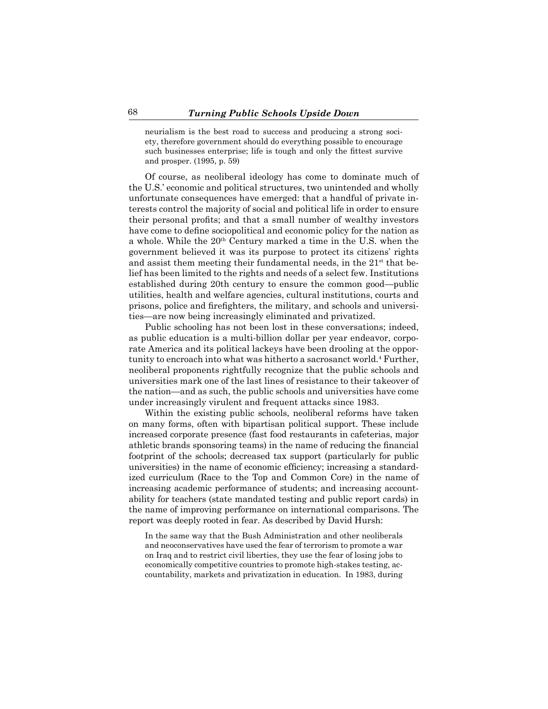neurialism is the best road to success and producing a strong society, therefore government should do everything possible to encourage such businesses enterprise; life is tough and only the fittest survive and prosper. (1995, p. 59)

 Of course, as neoliberal ideology has come to dominate much of the U.S.' economic and political structures, two unintended and wholly unfortunate consequences have emerged: that a handful of private interests control the majority of social and political life in order to ensure their personal profits; and that a small number of wealthy investors have come to define sociopolitical and economic policy for the nation as a whole. While the 20<sup>th</sup> Century marked a time in the U.S. when the government believed it was its purpose to protect its citizens' rights and assist them meeting their fundamental needs, in the  $21<sup>st</sup>$  that belief has been limited to the rights and needs of a select few. Institutions established during 20th century to ensure the common good—public utilities, health and welfare agencies, cultural institutions, courts and prisons, police and firefighters, the military, and schools and universities—are now being increasingly eliminated and privatized.

 Public schooling has not been lost in these conversations; indeed, as public education is a multi-billion dollar per year endeavor, corporate America and its political lackeys have been drooling at the opportunity to encroach into what was hitherto a sacrosanct world.<sup>4</sup> Further, neoliberal proponents rightfully recognize that the public schools and universities mark one of the last lines of resistance to their takeover of the nation—and as such, the public schools and universities have come under increasingly virulent and frequent attacks since 1983.

 Within the existing public schools, neoliberal reforms have taken on many forms, often with bipartisan political support. These include increased corporate presence (fast food restaurants in cafeterias, major athletic brands sponsoring teams) in the name of reducing the financial footprint of the schools; decreased tax support (particularly for public universities) in the name of economic efficiency; increasing a standardized curriculum (Race to the Top and Common Core) in the name of increasing academic performance of students; and increasing accountability for teachers (state mandated testing and public report cards) in the name of improving performance on international comparisons. The report was deeply rooted in fear. As described by David Hursh:

In the same way that the Bush Administration and other neoliberals and neoconservatives have used the fear of terrorism to promote a war on Iraq and to restrict civil liberties, they use the fear of losing jobs to economically competitive countries to promote high-stakes testing, accountability, markets and privatization in education. In 1983, during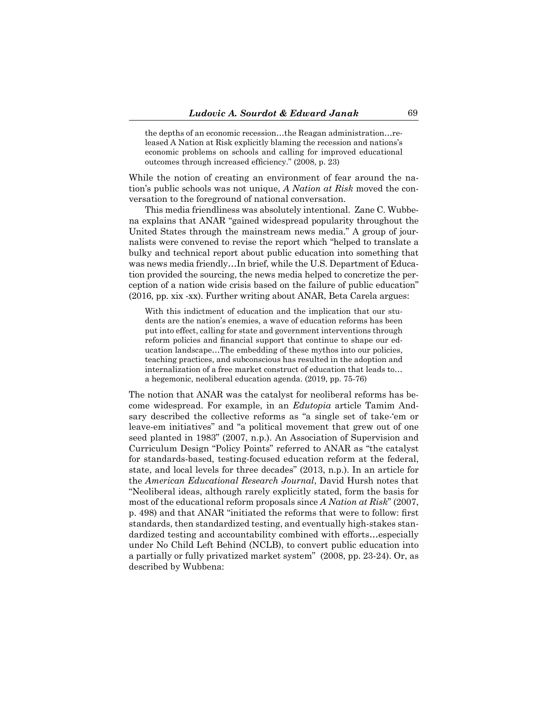the depths of an economic recession…the Reagan administration…released A Nation at Risk explicitly blaming the recession and nations's economic problems on schools and calling for improved educational outcomes through increased efficiency." (2008, p. 23)

While the notion of creating an environment of fear around the nation's public schools was not unique, *A Nation at Risk* moved the conversation to the foreground of national conversation.

 This media friendliness was absolutely intentional. Zane C. Wubbena explains that ANAR "gained widespread popularity throughout the United States through the mainstream news media." A group of journalists were convened to revise the report which "helped to translate a bulky and technical report about public education into something that was news media friendly…In brief, while the U.S. Department of Education provided the sourcing, the news media helped to concretize the perception of a nation wide crisis based on the failure of public education" (2016, pp. xix -xx). Further writing about ANAR, Beta Carela argues:

With this indictment of education and the implication that our students are the nation's enemies, a wave of education reforms has been put into effect, calling for state and government interventions through reform policies and financial support that continue to shape our education landscape…The embedding of these mythos into our policies, teaching practices, and subconscious has resulted in the adoption and internalization of a free market construct of education that leads to… a hegemonic, neoliberal education agenda. (2019, pp. 75-76)

The notion that ANAR was the catalyst for neoliberal reforms has become widespread. For example, in an *Edutopia* article Tamim Andsary described the collective reforms as "a single set of take-'em or leave-em initiatives" and "a political movement that grew out of one seed planted in 1983" (2007, n.p.). An Association of Supervision and Curriculum Design "Policy Points" referred to ANAR as "the catalyst for standards-based, testing-focused education reform at the federal, state, and local levels for three decades" (2013, n.p.). In an article for the *American Educational Research Journal*, David Hursh notes that "Neoliberal ideas, although rarely explicitly stated, form the basis for most of the educational reform proposals since *A Nation at Risk*" (2007, p. 498) and that ANAR "initiated the reforms that were to follow: first standards, then standardized testing, and eventually high-stakes standardized testing and accountability combined with efforts…especially under No Child Left Behind (NCLB), to convert public education into a partially or fully privatized market system" (2008, pp. 23-24). Or, as described by Wubbena: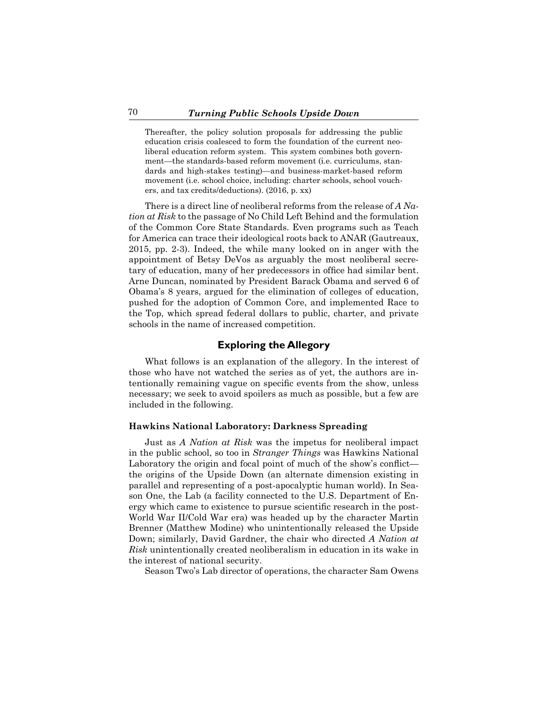Thereafter, the policy solution proposals for addressing the public education crisis coalesced to form the foundation of the current neoliberal education reform system. This system combines both government—the standards-based reform movement (i.e. curriculums, standards and high-stakes testing)—and business-market-based reform movement (i.e. school choice, including: charter schools, school vouchers, and tax credits/deductions). (2016, p. xx)

 There is a direct line of neoliberal reforms from the release of *A Nation at Risk* to the passage of No Child Left Behind and the formulation of the Common Core State Standards. Even programs such as Teach for America can trace their ideological roots back to ANAR (Gautreaux, 2015, pp. 2-3). Indeed, the while many looked on in anger with the appointment of Betsy DeVos as arguably the most neoliberal secretary of education, many of her predecessors in office had similar bent. Arne Duncan, nominated by President Barack Obama and served 6 of Obama's 8 years, argued for the elimination of colleges of education, pushed for the adoption of Common Core, and implemented Race to the Top, which spread federal dollars to public, charter, and private schools in the name of increased competition.

## **Exploring the Allegory**

 What follows is an explanation of the allegory. In the interest of those who have not watched the series as of yet, the authors are intentionally remaining vague on specific events from the show, unless necessary; we seek to avoid spoilers as much as possible, but a few are included in the following.

#### **Hawkins National Laboratory: Darkness Spreading**

 Just as *A Nation at Risk* was the impetus for neoliberal impact in the public school, so too in *Stranger Things* was Hawkins National Laboratory the origin and focal point of much of the show's conflict the origins of the Upside Down (an alternate dimension existing in parallel and representing of a post-apocalyptic human world). In Season One, the Lab (a facility connected to the U.S. Department of Energy which came to existence to pursue scientific research in the post-World War II/Cold War era) was headed up by the character Martin Brenner (Matthew Modine) who unintentionally released the Upside Down; similarly, David Gardner, the chair who directed *A Nation at Risk* unintentionally created neoliberalism in education in its wake in the interest of national security.

 Season Two's Lab director of operations, the character Sam Owens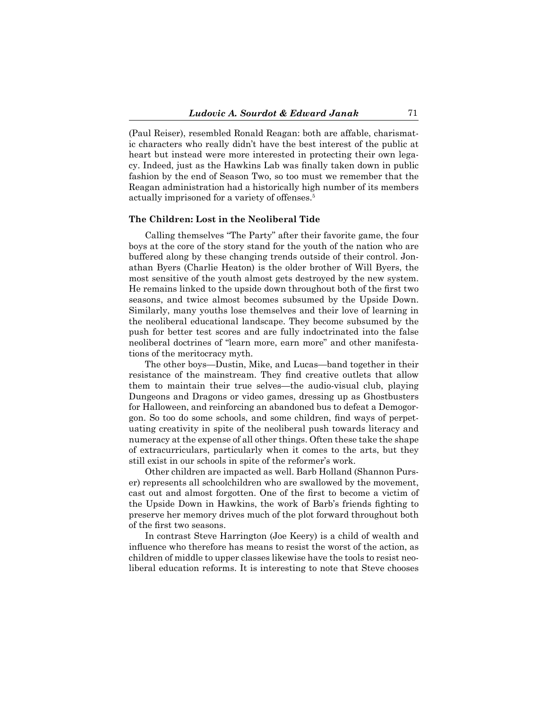(Paul Reiser), resembled Ronald Reagan: both are affable, charismatic characters who really didn't have the best interest of the public at heart but instead were more interested in protecting their own legacy. Indeed, just as the Hawkins Lab was finally taken down in public fashion by the end of Season Two, so too must we remember that the Reagan administration had a historically high number of its members actually imprisoned for a variety of offenses.<sup>5</sup>

#### **The Children: Lost in the Neoliberal Tide**

 Calling themselves "The Party" after their favorite game, the four boys at the core of the story stand for the youth of the nation who are buffered along by these changing trends outside of their control. Jonathan Byers (Charlie Heaton) is the older brother of Will Byers, the most sensitive of the youth almost gets destroyed by the new system. He remains linked to the upside down throughout both of the first two seasons, and twice almost becomes subsumed by the Upside Down. Similarly, many youths lose themselves and their love of learning in the neoliberal educational landscape. They become subsumed by the push for better test scores and are fully indoctrinated into the false neoliberal doctrines of "learn more, earn more" and other manifestations of the meritocracy myth.

 The other boys—Dustin, Mike, and Lucas—band together in their resistance of the mainstream. They find creative outlets that allow them to maintain their true selves—the audio-visual club, playing Dungeons and Dragons or video games, dressing up as Ghostbusters for Halloween, and reinforcing an abandoned bus to defeat a Demogorgon. So too do some schools, and some children, find ways of perpetuating creativity in spite of the neoliberal push towards literacy and numeracy at the expense of all other things. Often these take the shape of extracurriculars, particularly when it comes to the arts, but they still exist in our schools in spite of the reformer's work.

 Other children are impacted as well. Barb Holland (Shannon Purser) represents all schoolchildren who are swallowed by the movement, cast out and almost forgotten. One of the first to become a victim of the Upside Down in Hawkins, the work of Barb's friends fighting to preserve her memory drives much of the plot forward throughout both of the first two seasons.

 In contrast Steve Harrington (Joe Keery) is a child of wealth and influence who therefore has means to resist the worst of the action, as children of middle to upper classes likewise have the tools to resist neoliberal education reforms. It is interesting to note that Steve chooses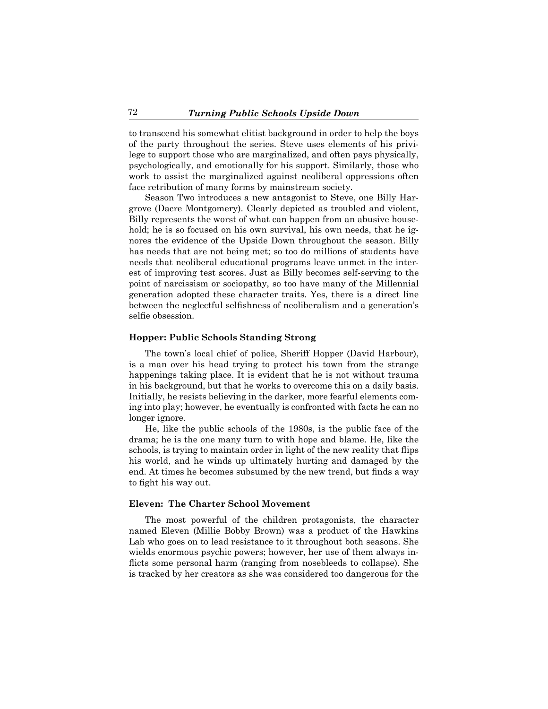to transcend his somewhat elitist background in order to help the boys of the party throughout the series. Steve uses elements of his privilege to support those who are marginalized, and often pays physically, psychologically, and emotionally for his support. Similarly, those who work to assist the marginalized against neoliberal oppressions often face retribution of many forms by mainstream society.

 Season Two introduces a new antagonist to Steve, one Billy Hargrove (Dacre Montgomery). Clearly depicted as troubled and violent, Billy represents the worst of what can happen from an abusive household; he is so focused on his own survival, his own needs, that he ignores the evidence of the Upside Down throughout the season. Billy has needs that are not being met; so too do millions of students have needs that neoliberal educational programs leave unmet in the interest of improving test scores. Just as Billy becomes self-serving to the point of narcissism or sociopathy, so too have many of the Millennial generation adopted these character traits. Yes, there is a direct line between the neglectful selfishness of neoliberalism and a generation's selfie obsession.

#### **Hopper: Public Schools Standing Strong**

 The town's local chief of police, Sheriff Hopper (David Harbour), is a man over his head trying to protect his town from the strange happenings taking place. It is evident that he is not without trauma in his background, but that he works to overcome this on a daily basis. Initially, he resists believing in the darker, more fearful elements coming into play; however, he eventually is confronted with facts he can no longer ignore.

 He, like the public schools of the 1980s, is the public face of the drama; he is the one many turn to with hope and blame. He, like the schools, is trying to maintain order in light of the new reality that flips his world, and he winds up ultimately hurting and damaged by the end. At times he becomes subsumed by the new trend, but finds a way to fight his way out.

#### **Eleven: The Charter School Movement**

 The most powerful of the children protagonists, the character named Eleven (Millie Bobby Brown) was a product of the Hawkins Lab who goes on to lead resistance to it throughout both seasons. She wields enormous psychic powers; however, her use of them always inflicts some personal harm (ranging from nosebleeds to collapse). She is tracked by her creators as she was considered too dangerous for the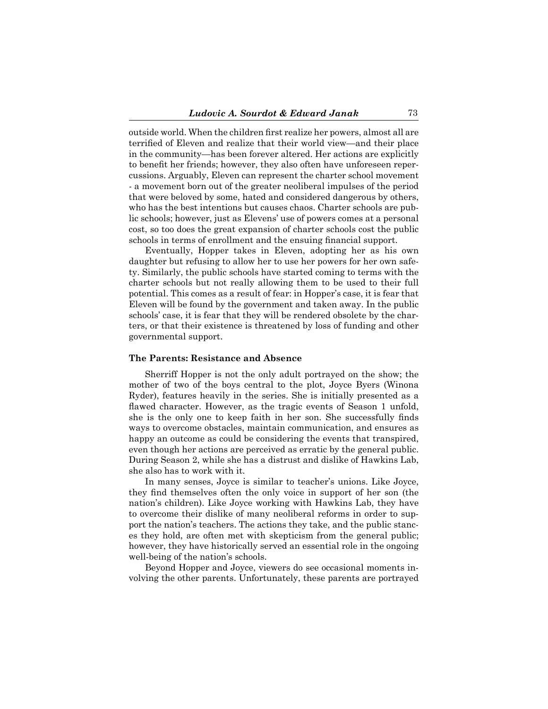outside world. When the children first realize her powers, almost all are terrified of Eleven and realize that their world view—and their place in the community—has been forever altered. Her actions are explicitly to benefit her friends; however, they also often have unforeseen repercussions. Arguably, Eleven can represent the charter school movement - a movement born out of the greater neoliberal impulses of the period that were beloved by some, hated and considered dangerous by others, who has the best intentions but causes chaos. Charter schools are public schools; however, just as Elevens' use of powers comes at a personal cost, so too does the great expansion of charter schools cost the public schools in terms of enrollment and the ensuing financial support.

 Eventually, Hopper takes in Eleven, adopting her as his own daughter but refusing to allow her to use her powers for her own safety. Similarly, the public schools have started coming to terms with the charter schools but not really allowing them to be used to their full potential. This comes as a result of fear: in Hopper's case, it is fear that Eleven will be found by the government and taken away. In the public schools' case, it is fear that they will be rendered obsolete by the charters, or that their existence is threatened by loss of funding and other governmental support.

#### **The Parents: Resistance and Absence**

 Sherriff Hopper is not the only adult portrayed on the show; the mother of two of the boys central to the plot, Joyce Byers (Winona Ryder), features heavily in the series. She is initially presented as a flawed character. However, as the tragic events of Season 1 unfold, she is the only one to keep faith in her son. She successfully finds ways to overcome obstacles, maintain communication, and ensures as happy an outcome as could be considering the events that transpired, even though her actions are perceived as erratic by the general public. During Season 2, while she has a distrust and dislike of Hawkins Lab, she also has to work with it.

 In many senses, Joyce is similar to teacher's unions. Like Joyce, they find themselves often the only voice in support of her son (the nation's children). Like Joyce working with Hawkins Lab, they have to overcome their dislike of many neoliberal reforms in order to support the nation's teachers. The actions they take, and the public stances they hold, are often met with skepticism from the general public; however, they have historically served an essential role in the ongoing well-being of the nation's schools.

 Beyond Hopper and Joyce, viewers do see occasional moments involving the other parents. Unfortunately, these parents are portrayed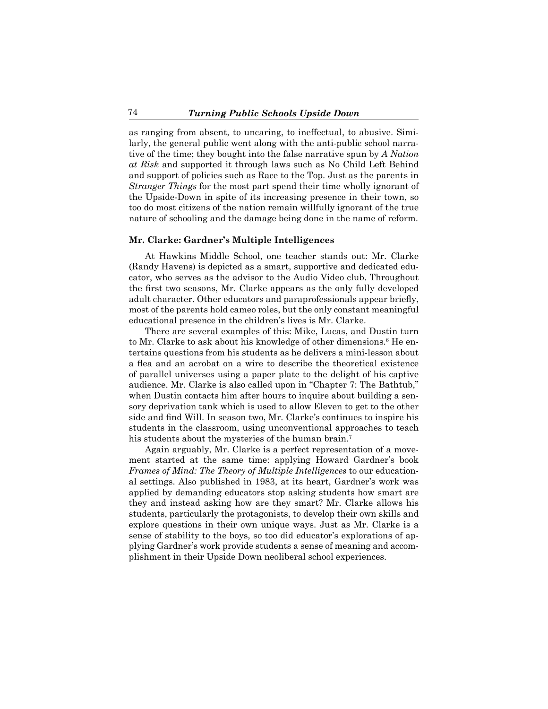as ranging from absent, to uncaring, to ineffectual, to abusive. Similarly, the general public went along with the anti-public school narrative of the time; they bought into the false narrative spun by *A Nation at Risk* and supported it through laws such as No Child Left Behind and support of policies such as Race to the Top. Just as the parents in *Stranger Things* for the most part spend their time wholly ignorant of the Upside-Down in spite of its increasing presence in their town, so too do most citizens of the nation remain willfully ignorant of the true nature of schooling and the damage being done in the name of reform.

#### **Mr. Clarke: Gardner's Multiple Intelligences**

At Hawkins Middle School, one teacher stands out: Mr. Clarke (Randy Havens) is depicted as a smart, supportive and dedicated educator, who serves as the advisor to the Audio Video club. Throughout the first two seasons, Mr. Clarke appears as the only fully developed adult character. Other educators and paraprofessionals appear briefly, most of the parents hold cameo roles, but the only constant meaningful educational presence in the children's lives is Mr. Clarke.

 There are several examples of this: Mike, Lucas, and Dustin turn to Mr. Clarke to ask about his knowledge of other dimensions.<sup>6</sup> He entertains questions from his students as he delivers a mini-lesson about a flea and an acrobat on a wire to describe the theoretical existence of parallel universes using a paper plate to the delight of his captive audience. Mr. Clarke is also called upon in "Chapter 7: The Bathtub," when Dustin contacts him after hours to inquire about building a sensory deprivation tank which is used to allow Eleven to get to the other side and find Will. In season two, Mr. Clarke's continues to inspire his students in the classroom, using unconventional approaches to teach his students about the mysteries of the human brain.<sup>7</sup>

 Again arguably, Mr. Clarke is a perfect representation of a movement started at the same time: applying Howard Gardner's book *Frames of Mind: The Theory of Multiple Intelligences* to our educational settings. Also published in 1983, at its heart, Gardner's work was applied by demanding educators stop asking students how smart are they and instead asking how are they smart? Mr. Clarke allows his students, particularly the protagonists, to develop their own skills and explore questions in their own unique ways. Just as Mr. Clarke is a sense of stability to the boys, so too did educator's explorations of applying Gardner's work provide students a sense of meaning and accomplishment in their Upside Down neoliberal school experiences.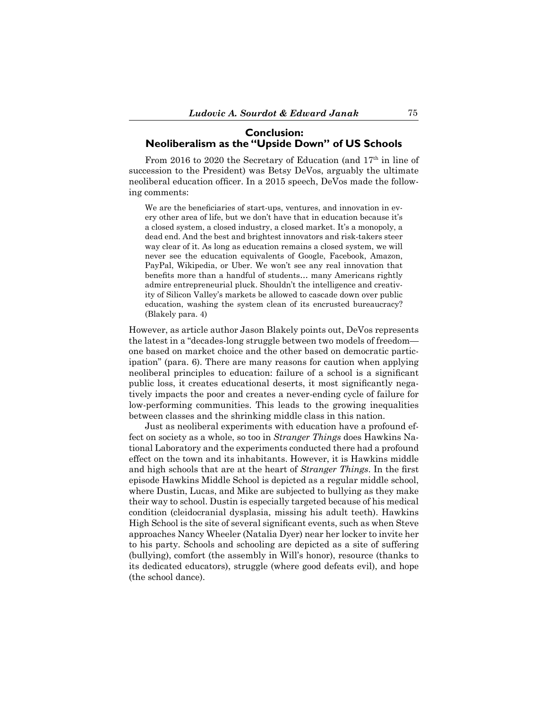## **Conclusion: Neoliberalism as the "Upside Down" of US Schools**

From 2016 to 2020 the Secretary of Education (and 17<sup>th</sup> in line of succession to the President) was Betsy DeVos, arguably the ultimate neoliberal education officer. In a 2015 speech, DeVos made the following comments:

We are the beneficiaries of start-ups, ventures, and innovation in every other area of life, but we don't have that in education because it's a closed system, a closed industry, a closed market. It's a monopoly, a dead end. And the best and brightest innovators and risk-takers steer way clear of it. As long as education remains a closed system, we will never see the education equivalents of Google, Facebook, Amazon, PayPal, Wikipedia, or Uber. We won't see any real innovation that benefits more than a handful of students… many Americans rightly admire entrepreneurial pluck. Shouldn't the intelligence and creativity of Silicon Valley's markets be allowed to cascade down over public education, washing the system clean of its encrusted bureaucracy? (Blakely para. 4)

However, as article author Jason Blakely points out, DeVos represents the latest in a "decades-long struggle between two models of freedom one based on market choice and the other based on democratic participation" (para. 6). There are many reasons for caution when applying neoliberal principles to education: failure of a school is a significant public loss, it creates educational deserts, it most significantly negatively impacts the poor and creates a never-ending cycle of failure for low-performing communities. This leads to the growing inequalities between classes and the shrinking middle class in this nation.

 Just as neoliberal experiments with education have a profound effect on society as a whole, so too in *Stranger Things* does Hawkins National Laboratory and the experiments conducted there had a profound effect on the town and its inhabitants. However, it is Hawkins middle and high schools that are at the heart of *Stranger Things*. In the first episode Hawkins Middle School is depicted as a regular middle school, where Dustin, Lucas, and Mike are subjected to bullying as they make their way to school. Dustin is especially targeted because of his medical condition (cleidocranial dysplasia, missing his adult teeth). Hawkins High School is the site of several significant events, such as when Steve approaches Nancy Wheeler (Natalia Dyer) near her locker to invite her to his party. Schools and schooling are depicted as a site of suffering (bullying), comfort (the assembly in Will's honor), resource (thanks to its dedicated educators), struggle (where good defeats evil), and hope (the school dance).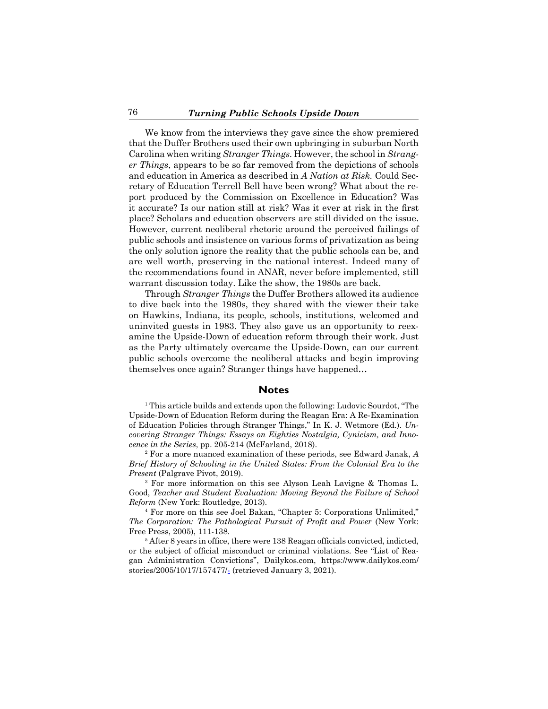We know from the interviews they gave since the show premiered that the Duffer Brothers used their own upbringing in suburban North Carolina when writing *Stranger Things.* However, the school in *Stranger Things*, appears to be so far removed from the depictions of schools and education in America as described in *A Nation at Risk.* Could Secretary of Education Terrell Bell have been wrong? What about the report produced by the Commission on Excellence in Education? Was it accurate? Is our nation still at risk? Was it ever at risk in the first place? Scholars and education observers are still divided on the issue. However, current neoliberal rhetoric around the perceived failings of public schools and insistence on various forms of privatization as being the only solution ignore the reality that the public schools can be, and are well worth, preserving in the national interest. Indeed many of the recommendations found in ANAR, never before implemented, still warrant discussion today. Like the show, the 1980s are back.

 Through *Stranger Things* the Duffer Brothers allowed its audience to dive back into the 1980s, they shared with the viewer their take on Hawkins, Indiana, its people, schools, institutions, welcomed and uninvited guests in 1983. They also gave us an opportunity to reexamine the Upside-Down of education reform through their work. Just as the Party ultimately overcame the Upside-Down, can our current public schools overcome the neoliberal attacks and begin improving themselves once again? Stranger things have happened…

## **Notes**

<sup>1</sup> This article builds and extends upon the following: Ludovic Sourdot, "The Upside-Down of Education Reform during the Reagan Era: A Re-Examination of Education Policies through Stranger Things," In K. J. Wetmore (Ed.). *Uncovering Stranger Things: Essays on Eighties Nostalgia, Cynicism, and Innocence in the Series*, pp. 205-214 (McFarland, 2018).

<sup>2</sup> For a more nuanced examination of these periods, see Edward Janak, *A Brief History of Schooling in the United States: From the Colonial Era to the Present* (Palgrave Pivot, 2019).

<sup>3</sup> For more information on this see Alyson Leah Lavigne & Thomas L. Good, *Teacher and Student Evaluation: Moving Beyond the Failure of School Reform* (New York: Routledge, 2013).

<sup>4</sup> For more on this see Joel Bakan, "Chapter 5: Corporations Unlimited," *The Corporation: The Pathological Pursuit of Profit and Power* (New York: Free Press, 2005), 111-138.

<sup>5</sup> After 8 years in office, there were 138 Reagan officials convicted, indicted, or the subject of official misconduct or criminal violations. See "List of Reagan Administration Convictions", Dailykos.com, https://www.dailykos.com/ stories/2005/10/17/157477/- (retrieved January 3, 2021).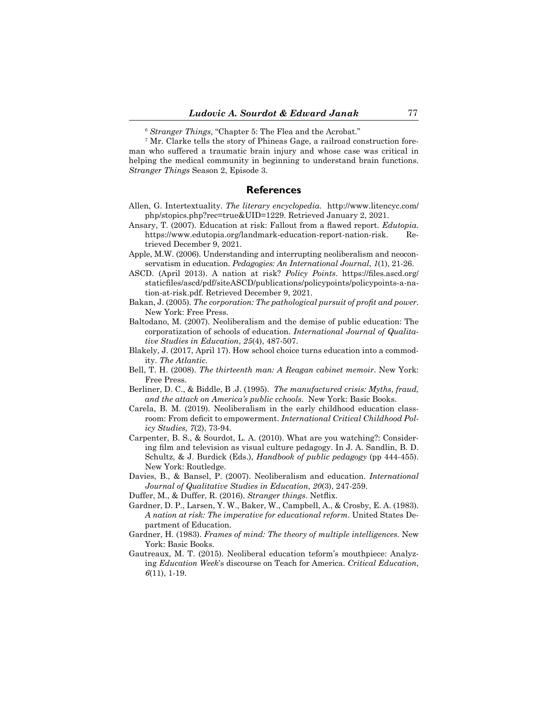<sup>6</sup> *Stranger Things*, "Chapter 5: The Flea and the Acrobat."

<sup>7</sup> Mr. Clarke tells the story of Phineas Gage, a railroad construction foreman who suffered a traumatic brain injury and whose case was critical in helping the medical community in beginning to understand brain functions. *Stranger Things* Season 2, Episode 3.

### **References**

- Allen, G. Intertextuality. *The literary encyclopedia.* http://www.litencyc.com/ php/stopics.php?rec=true&UID=1229. Retrieved January 2, 2021.
- Ansary, T. (2007). Education at risk: Fallout from a flawed report. *Edutopia*. https://www.edutopia.org/landmark-education-report-nation-risk. Retrieved December 9, 2021.
- Apple, M.W. (2006). Understanding and interrupting neoliberalism and neoconservatism in education. *Pedagogies: An International Journal*, *1*(1), 21-26.
- ASCD. (April 2013). A nation at risk? *Policy Points*. https://files.ascd.org/ staticfiles/ascd/pdf/siteASCD/publications/policypoints/policypoints-a-nation-at-risk.pdf. Retrieved December 9, 2021.
- Bakan, J. (2005). *The corporation: The pathological pursuit of profit and power*. New York: Free Press.
- Baltodano, M. (2007). Neoliberalism and the demise of public education: The corporatization of schools of education. *International Journal of Qualitative Studies in Education*, *25*(4), 487-507.
- Blakely, J. (2017, April 17). How school choice turns education into a commodity. *The Atlantic.*
- Bell, T. H. (2008). *The thirteenth man: A Reagan cabinet memoir*. New York: Free Press.
- Berliner, D. C., & Biddle, B .J. (1995). *The manufactured crisis: Myths, fraud, and the attack on America's public cchools*. New York: Basic Books.
- Carela, B. M. (2019). Neoliberalism in the early childhood education classroom: From deficit to empowerment. *International Critical Childhood Policy Studies, 7*(2), 73-94.
- Carpenter, B. S., & Sourdot, L. A. (2010). What are you watching?: Considering film and television as visual culture pedagogy. In J. A. Sandlin, B. D. Schultz, & J. Burdick (Eds.), *Handbook of public pedagogy* (pp 444-455). New York: Routledge.
- Davies, B., & Bansel, P. (2007). Neoliberalism and education. *International Journal of Qualitative Studies in Education*, *20*(3), 247-259.
- Duffer, M., & Duffer, R. (2016). *Stranger things*. Netflix.
- Gardner, D. P., Larsen, Y. W., Baker, W., Campbell, A., & Crosby, E. A. (1983). *A nation at risk: The imperative for educational reform*. United States Department of Education.
- Gardner, H. (1983). *Frames of mind: The theory of multiple intelligences.* New York: Basic Books.
- Gautreaux, M. T. (2015). Neoliberal education teform's mouthpiece: Analyzing *Education Week*'s discourse on Teach for America. *Critical Education*, *6*(11), 1-19.